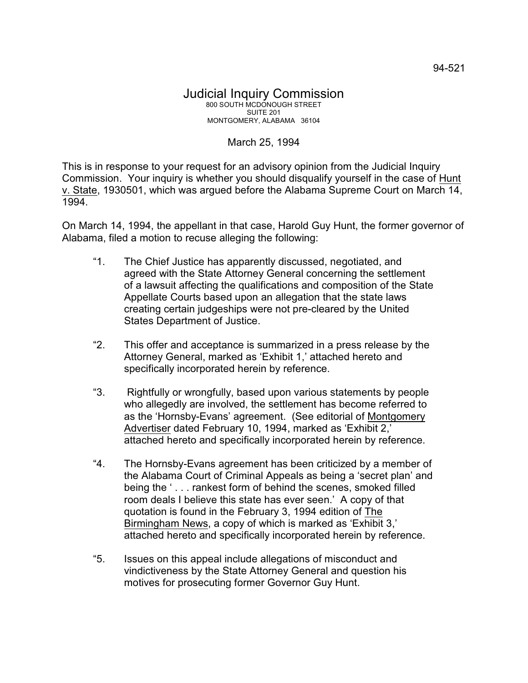## March 25, 1994

This is in response to your request for an advisory opinion from the Judicial Inquiry Commission. Your inquiry is whether you should disqualify yourself in the case of Hunt v. State, 1930501, which was argued before the Alabama Supreme Court on March 14, 1994.

On March 14, 1994, the appellant in that case, Harold Guy Hunt, the former governor of Alabama, filed a motion to recuse alleging the following:

- "1. The Chief Justice has apparently discussed, negotiated, and agreed with the State Attorney General concerning the settlement of a lawsuit affecting the qualifications and composition of the State Appellate Courts based upon an allegation that the state laws creating certain judgeships were not pre-cleared by the United States Department of Justice.
- "2. This offer and acceptance is summarized in a press release by the Attorney General, marked as 'Exhibit 1,' attached hereto and specifically incorporated herein by reference.
- "3. Rightfully or wrongfully, based upon various statements by people who allegedly are involved, the settlement has become referred to as the 'Hornsby-Evans' agreement. (See editorial of Montgomery Advertiser dated February 10, 1994, marked as 'Exhibit 2,' attached hereto and specifically incorporated herein by reference.
- "4. The Hornsby-Evans agreement has been criticized by a member of the Alabama Court of Criminal Appeals as being a 'secret plan' and being the ' . . . rankest form of behind the scenes, smoked filled room deals I believe this state has ever seen.' A copy of that quotation is found in the February 3, 1994 edition of The Birmingham News, a copy of which is marked as 'Exhibit 3,' attached hereto and specifically incorporated herein by reference.
- "5. Issues on this appeal include allegations of misconduct and vindictiveness by the State Attorney General and question his motives for prosecuting former Governor Guy Hunt.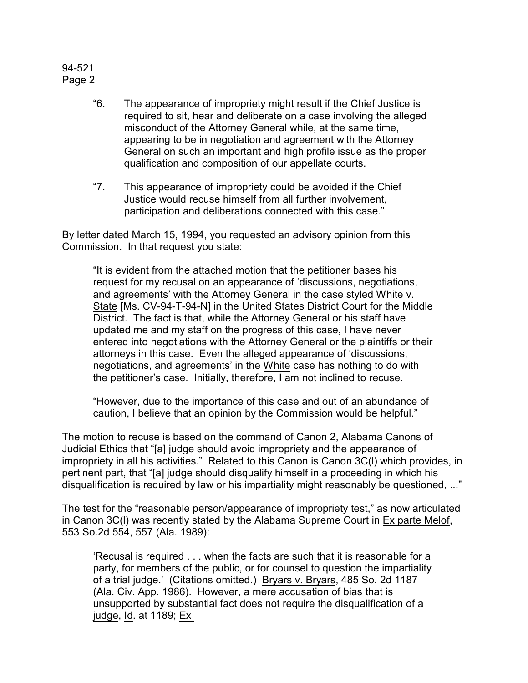## 94-521 Page 2

- "6. The appearance of impropriety might result if the Chief Justice is required to sit, hear and deliberate on a case involving the alleged misconduct of the Attorney General while, at the same time, appearing to be in negotiation and agreement with the Attorney General on such an important and high profile issue as the proper qualification and composition of our appellate courts.
- "7. This appearance of impropriety could be avoided if the Chief Justice would recuse himself from all further involvement, participation and deliberations connected with this case."

By letter dated March 15, 1994, you requested an advisory opinion from this Commission. In that request you state:

"It is evident from the attached motion that the petitioner bases his request for my recusal on an appearance of 'discussions, negotiations, and agreements' with the Attorney General in the case styled White v. State [Ms. CV-94-T-94-N] in the United States District Court for the Middle District. The fact is that, while the Attorney General or his staff have updated me and my staff on the progress of this case, I have never entered into negotiations with the Attorney General or the plaintiffs or their attorneys in this case. Even the alleged appearance of 'discussions, negotiations, and agreements' in the White case has nothing to do with the petitioner's case. Initially, therefore, I am not inclined to recuse.

"However, due to the importance of this case and out of an abundance of caution, I believe that an opinion by the Commission would be helpful."

The motion to recuse is based on the command of Canon 2, Alabama Canons of Judicial Ethics that "[a] judge should avoid impropriety and the appearance of impropriety in all his activities." Related to this Canon is Canon 3C(l) which provides, in pertinent part, that "[a] judge should disqualify himself in a proceeding in which his disqualification is required by law or his impartiality might reasonably be questioned, ..."

The test for the "reasonable person/appearance of impropriety test," as now articulated in Canon 3C(l) was recently stated by the Alabama Supreme Court in Ex parte Melof, 553 So.2d 554, 557 (Ala. 1989):

'Recusal is required . . . when the facts are such that it is reasonable for a party, for members of the public, or for counsel to question the impartiality of a trial judge.' (Citations omitted.) Bryars v. Bryars, 485 So. 2d 1187 (Ala. Civ. App. 1986). However, a mere accusation of bias that is unsupported by substantial fact does not require the disqualification of a judge, Id. at 1189; Ex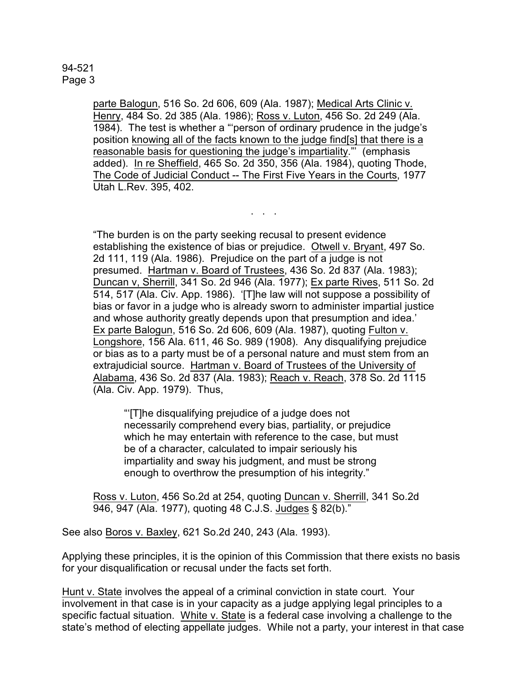parte Balogun, 516 So. 2d 606, 609 (Ala. 1987); Medical Arts Clinic v. Henry, 484 So. 2d 385 (Ala. 1986); Ross v. Luton, 456 So. 2d 249 (Ala. 1984). The test is whether a "'person of ordinary prudence in the judge's position knowing all of the facts known to the judge find[s] that there is a reasonable basis for questioning the judge's impartiality."' (emphasis added). In re Sheffield, 465 So. 2d 350, 356 (Ala. 1984), quoting Thode, The Code of Judicial Conduct -- The First Five Years in the Courts, 1977 Utah L.Rev. 395, 402.

. . .

"The burden is on the party seeking recusal to present evidence establishing the existence of bias or prejudice. Otwell v. Bryant, 497 So. 2d 111, 119 (Ala. 1986). Prejudice on the part of a judge is not presumed. Hartman v. Board of Trustees, 436 So. 2d 837 (Ala. 1983); Duncan v, Sherrill, 341 So. 2d 946 (Ala. 1977); Ex parte Rives, 511 So. 2d 514, 517 (Ala. Civ. App. 1986). '[T]he law will not suppose a possibility of bias or favor in a judge who is already sworn to administer impartial justice and whose authority greatly depends upon that presumption and idea.' Ex parte Balogun, 516 So. 2d 606, 609 (Ala. 1987), quoting Fulton v. Longshore, 156 Ala. 611, 46 So. 989 (1908). Any disqualifying prejudice or bias as to a party must be of a personal nature and must stem from an extrajudicial source. Hartman v. Board of Trustees of the University of Alabama, 436 So. 2d 837 (Ala. 1983); Reach v. Reach, 378 So. 2d 1115 (Ala. Civ. App. 1979). Thus,

"'[T]he disqualifying prejudice of a judge does not necessarily comprehend every bias, partiality, or prejudice which he may entertain with reference to the case, but must be of a character, calculated to impair seriously his impartiality and sway his judgment, and must be strong enough to overthrow the presumption of his integrity."

Ross v. Luton, 456 So.2d at 254, quoting Duncan v. Sherrill, 341 So.2d 946, 947 (Ala. 1977), quoting 48 C.J.S. Judges § 82(b)."

See also Boros v. Baxley, 621 So.2d 240, 243 (Ala. 1993).

Applying these principles, it is the opinion of this Commission that there exists no basis for your disqualification or recusal under the facts set forth.

Hunt v. State involves the appeal of a criminal conviction in state court. Your involvement in that case is in your capacity as a judge applying legal principles to a specific factual situation. White v. State is a federal case involving a challenge to the state's method of electing appellate judges. While not a party, your interest in that case